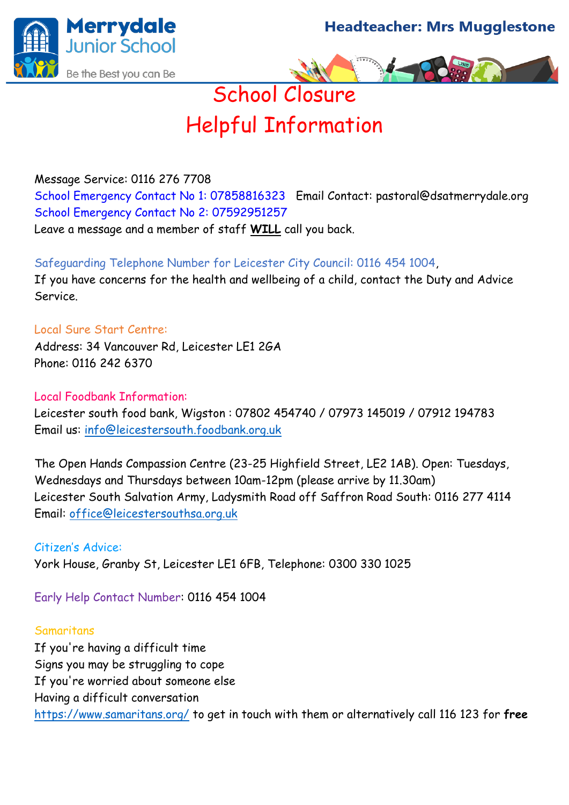



# Helpful Information

# Message Service: 0116 276 7708

School Emergency Contact No 1: 07858816323 Email Contact: pastoral@dsatmerrydale.org School Emergency Contact No 2: 07592951257

Leave a message and a member of staff **WILL** call you back.

## Safeguarding Telephone Number for Leicester City Council: 0116 454 1004,

If you have concerns for the health and wellbeing of a child, contact the Duty and Advice Service.

## Local Sure Start Centre:

Address: 34 Vancouver Rd, Leicester LE1 2GA Phone: 0116 242 6370

#### Local Foodbank Information:

Leicester south food bank, Wigston : 07802 454740 / 07973 145019 / 07912 194783 Email us: [info@leicestersouth.foodbank.org.uk](mailto:info@leicestersouth.foodbank.org.uk)

The Open Hands Compassion Centre (23-25 Highfield Street, LE2 1AB). Open: Tuesdays, Wednesdays and Thursdays between 10am-12pm (please arrive by 11.30am) Leicester South Salvation Army, Ladysmith Road off Saffron Road South: 0116 277 4114 Email: [office@leicestersouthsa.org.uk](mailto:office@leicestersouthsa.org.uk)

#### Citizen's Advice:

York House, Granby St, Leicester LE1 6FB, Telephone: 0300 330 1025

Early Help Contact Number: 0116 454 1004

#### **Samaritans**

If you're having a difficult time Signs you may be struggling to cope If you're worried about someone else Having a difficult conversation <https://www.samaritans.org/> to get in touch with them or alternatively call 116 123 for **free**